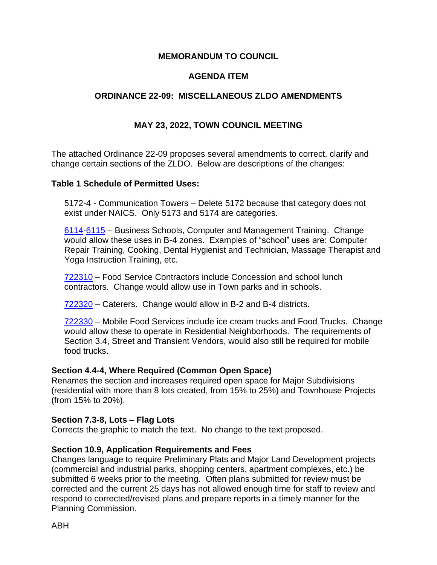### **MEMORANDUM TO COUNCIL**

### **AGENDA ITEM**

### **ORDINANCE 22-09: MISCELLANEOUS ZLDO AMENDMENTS**

### **MAY 23, 2022, TOWN COUNCIL MEETING**

The attached Ordinance 22-09 proposes several amendments to correct, clarify and change certain sections of the ZLDO. Below are descriptions of the changes:

### **Table 1 Schedule of Permitted Uses:**

5172-4 - Communication Towers – Delete 5172 because that category does not exist under NAICS. Only 5173 and 5174 are categories.

[6114](https://www.naics.com/code-search/?trms=6114&v=2017&styp=naics&qid=9963ab46a2)[-6115](https://www.naics.com/code-search/?trms=6115&v=2017&styp=naics&qid=9963ab46a2) – Business Schools, Computer and Management Training. Change would allow these uses in B-4 zones. Examples of "school" uses are: Computer Repair Training, Cooking, Dental Hygienist and Technician, Massage Therapist and Yoga Instruction Training, etc.

[722310](https://www.naics.com/naics-code-description/?code=722310&v=2017) – Food Service Contractors include Concession and school lunch contractors. Change would allow use in Town parks and in schools.

[722320](https://www.naics.com/code-search/?trms=722320&v=2017&styp=naics&qid=9963ab46a2) – Caterers. Change would allow in B-2 and B-4 districts.

[722330](https://www.naics.com/code-search/?trms=722330&v=2017&styp=naics&qid=9963ab46a2) – Mobile Food Services include ice cream trucks and Food Trucks. Change would allow these to operate in Residential Neighborhoods. The requirements of Section 3.4, Street and Transient Vendors, would also still be required for mobile food trucks.

### **Section 4.4-4, Where Required (Common Open Space)**

Renames the section and increases required open space for Major Subdivisions (residential with more than 8 lots created, from 15% to 25%) and Townhouse Projects (from 15% to 20%).

### **Section 7.3-8, Lots – Flag Lots**

Corrects the graphic to match the text. No change to the text proposed.

### **Section 10.9, Application Requirements and Fees**

Changes language to require Preliminary Plats and Major Land Development projects (commercial and industrial parks, shopping centers, apartment complexes, etc.) be submitted 6 weeks prior to the meeting. Often plans submitted for review must be corrected and the current 25 days has not allowed enough time for staff to review and respond to corrected/revised plans and prepare reports in a timely manner for the Planning Commission.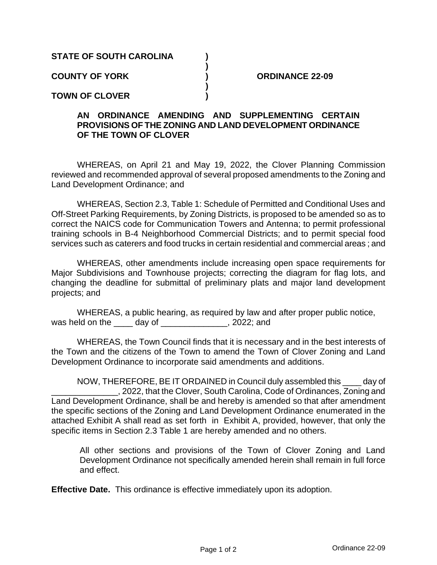### **STATE OF SOUTH CAROLINA )**

**COUNTY OF YORK ) ORDINANCE 22-09**

**TOWN OF CLOVER )**

### **AN ORDINANCE AMENDING AND SUPPLEMENTING CERTAIN PROVISIONS OF THE ZONING AND LAND DEVELOPMENT ORDINANCE OF THE TOWN OF CLOVER**

**)**

**)**

WHEREAS, on April 21 and May 19, 2022, the Clover Planning Commission reviewed and recommended approval of several proposed amendments to the Zoning and Land Development Ordinance; and

WHEREAS, Section 2.3, Table 1: Schedule of Permitted and Conditional Uses and Off-Street Parking Requirements, by Zoning Districts, is proposed to be amended so as to correct the NAICS code for Communication Towers and Antenna; to permit professional training schools in B-4 Neighborhood Commercial Districts; and to permit special food services such as caterers and food trucks in certain residential and commercial areas ; and

WHEREAS, other amendments include increasing open space requirements for Major Subdivisions and Townhouse projects; correcting the diagram for flag lots, and changing the deadline for submittal of preliminary plats and major land development projects; and

WHEREAS, a public hearing, as required by law and after proper public notice, was held on the day of the case of the set of the set of the set of the set of the set of the set of the set o

WHEREAS, the Town Council finds that it is necessary and in the best interests of the Town and the citizens of the Town to amend the Town of Clover Zoning and Land Development Ordinance to incorporate said amendments and additions.

NOW, THEREFORE, BE IT ORDAINED in Council duly assembled this \_\_\_\_ day of \_\_\_\_\_\_\_\_\_\_\_\_\_\_, 2022, that the Clover, South Carolina, Code of Ordinances, Zoning and Land Development Ordinance, shall be and hereby is amended so that after amendment the specific sections of the Zoning and Land Development Ordinance enumerated in the attached Exhibit A shall read as set forth in Exhibit A, provided, however, that only the specific items in Section 2.3 Table 1 are hereby amended and no others.

All other sections and provisions of the Town of Clover Zoning and Land Development Ordinance not specifically amended herein shall remain in full force and effect.

**Effective Date.** This ordinance is effective immediately upon its adoption.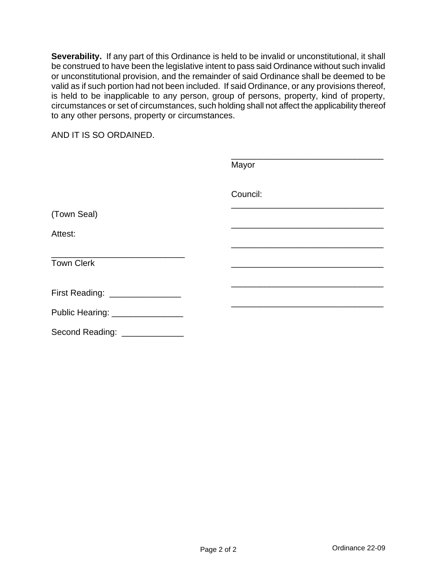**Severability.** If any part of this Ordinance is held to be invalid or unconstitutional, it shall be construed to have been the legislative intent to pass said Ordinance without such invalid or unconstitutional provision, and the remainder of said Ordinance shall be deemed to be valid as if such portion had not been included. If said Ordinance, or any provisions thereof, is held to be inapplicable to any person, group of persons, property, kind of property, circumstances or set of circumstances, such holding shall not affect the applicability thereof to any other persons, property or circumstances.

AND IT IS SO ORDAINED.

|                                  | Mayor    |
|----------------------------------|----------|
|                                  | Council: |
| (Town Seal)                      |          |
| Attest:                          |          |
| <b>Town Clerk</b>                |          |
| First Reading: ________________  |          |
| Public Hearing: ________________ |          |
| Second Reading: _____________    |          |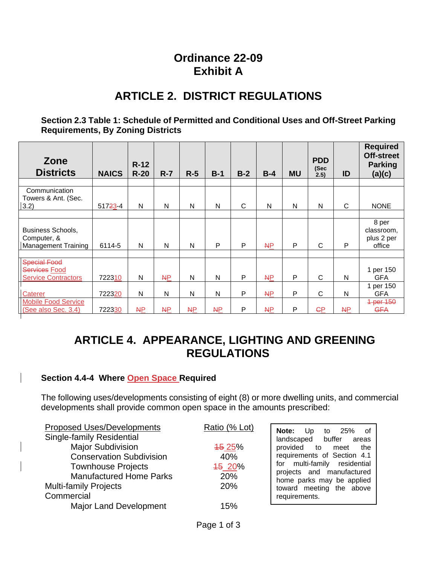## **Ordinance 22-09 Exhibit A**

# **ARTICLE 2. DISTRICT REGULATIONS**

### **Section 2.3 Table 1: Schedule of Permitted and Conditional Uses and Off-Street Parking Requirements, By Zoning Districts**

| Zone<br><b>Districts</b>                                           | <b>NAICS</b> | $R-12$<br>$R-20$ | $R - 7$       | $R-5$         | $B-1$     | $B-2$ | $B-4$     | <b>MU</b> | <b>PDD</b><br>(Sec<br>2.5) | ID | <b>Required</b><br><b>Off-street</b><br><b>Parking</b><br>(a)(c) |
|--------------------------------------------------------------------|--------------|------------------|---------------|---------------|-----------|-------|-----------|-----------|----------------------------|----|------------------------------------------------------------------|
|                                                                    |              |                  |               |               |           |       |           |           |                            |    |                                                                  |
| Communication<br>Towers & Ant. (Sec.<br>$ 3.2\rangle$              | 51723-4      | N                | N             | N             | N         | C     | N         | N         | N                          | C  | <b>NONE</b>                                                      |
| Business Schools,<br>Computer, &<br>Management Training            | 6114-5       | N                | N             | N             | P         | P     | AP        | P         | C                          | P  | 8 per<br>classroom,<br>plus 2 per<br>office                      |
|                                                                    |              |                  |               |               |           |       |           |           |                            |    |                                                                  |
| <b>Special Food</b><br>Services Food<br><b>Service Contractors</b> | 722310       | N                | <b>NP</b>     | N             | N         | P     | <b>NP</b> | P         | C                          | N  | 1 per 150<br><b>GFA</b>                                          |
| Caterer                                                            | 722320       | N                | N             | N             | N         | P     | AP        | P         | C                          | N  | 1 per 150<br><b>GFA</b>                                          |
| Mobile Food Service<br>(See also Sec. 3.4)                         | 722330       | <b>NP</b>        | $\mathsf{NP}$ | $\mathsf{NP}$ | <b>NP</b> | P     | <b>NP</b> | P         | ÇР                         | AP | 1 per 150<br><b>GFA</b>                                          |

# **ARTICLE 4. APPEARANCE, LIGHTING AND GREENING REGULATIONS**

### **Section 4.4-4 Where Open Space Required**

The following uses/developments consisting of eight (8) or more dwelling units, and commercial developments shall provide common open space in the amounts prescribed:

| <b>Proposed Uses/Developments</b> | Ratio (% Lot) | 25%<br>of<br><b>Note:</b> Up<br>to                     |
|-----------------------------------|---------------|--------------------------------------------------------|
| <b>Single-family Residential</b>  |               | landscaped buffer<br>areas                             |
| <b>Major Subdivision</b>          | <b>45 25%</b> | provided to meet the                                   |
| <b>Conservation Subdivision</b>   | 40%           | requirements of Section 4.1                            |
| <b>Townhouse Projects</b>         | 45 20%        | for multi-family residential                           |
| <b>Manufactured Home Parks</b>    | 20%           | projects and manufactured<br>home parks may be applied |
| <b>Multi-family Projects</b>      | 20%           | toward meeting the above                               |
| Commercial                        |               | requirements.                                          |
| <b>Major Land Development</b>     | 15%           |                                                        |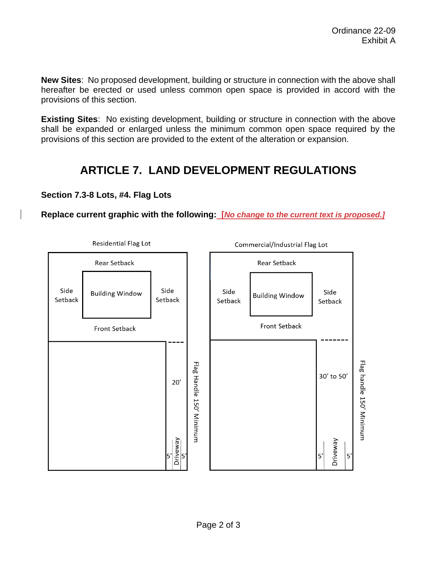**New Sites**: No proposed development, building or structure in connection with the above shall hereafter be erected or used unless common open space is provided in accord with the provisions of this section.

**Existing Sites:** No existing development, building or structure in connection with the above shall be expanded or enlarged unless the minimum common open space required by the provisions of this section are provided to the extent of the alteration or expansion.

# **ARTICLE 7. LAND DEVELOPMENT REGULATIONS**

### **Section 7.3-8 Lots, #4. Flag Lots**

**Replace current graphic with the following: [***No change to the current text is proposed.]*